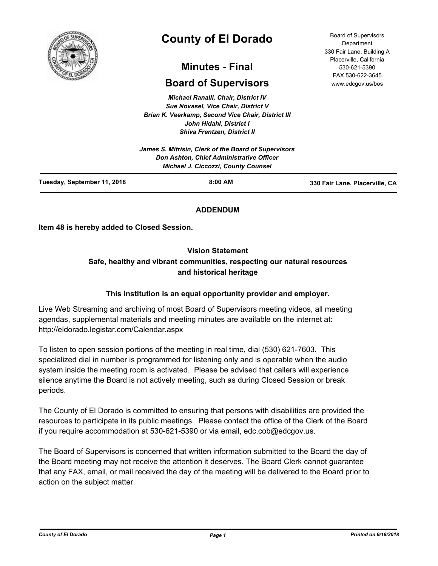

# **County of El Dorado**

## **Minutes - Final**

## **Board of Supervisors**

*Michael Ranalli, Chair, District IV Sue Novasel, Vice Chair, District V Brian K. Veerkamp, Second Vice Chair, District III John Hidahl, District I Shiva Frentzen, District II*

|                             | James S. Mitrisin, Clerk of the Board of Supervisors<br><b>Don Ashton, Chief Administrative Officer</b><br><b>Michael J. Ciccozzi, County Counsel</b> |                                |
|-----------------------------|-------------------------------------------------------------------------------------------------------------------------------------------------------|--------------------------------|
| Tuesday, September 11, 2018 | $8:00$ AM                                                                                                                                             | 330 Fair Lane, Placerville, CA |

## **ADDENDUM**

**Item 48 is hereby added to Closed Session.**

## **Vision Statement**

## **Safe, healthy and vibrant communities, respecting our natural resources and historical heritage**

## **This institution is an equal opportunity provider and employer.**

Live Web Streaming and archiving of most Board of Supervisors meeting videos, all meeting agendas, supplemental materials and meeting minutes are available on the internet at: http://eldorado.legistar.com/Calendar.aspx

To listen to open session portions of the meeting in real time, dial (530) 621-7603. This specialized dial in number is programmed for listening only and is operable when the audio system inside the meeting room is activated. Please be advised that callers will experience silence anytime the Board is not actively meeting, such as during Closed Session or break periods.

The County of El Dorado is committed to ensuring that persons with disabilities are provided the resources to participate in its public meetings. Please contact the office of the Clerk of the Board if you require accommodation at 530-621-5390 or via email, edc.cob@edcgov.us.

The Board of Supervisors is concerned that written information submitted to the Board the day of the Board meeting may not receive the attention it deserves. The Board Clerk cannot guarantee that any FAX, email, or mail received the day of the meeting will be delivered to the Board prior to action on the subject matter.

Board of Supervisors Department 330 Fair Lane, Building A Placerville, California 530-621-5390 FAX 530-622-3645 www.edcgov.us/bos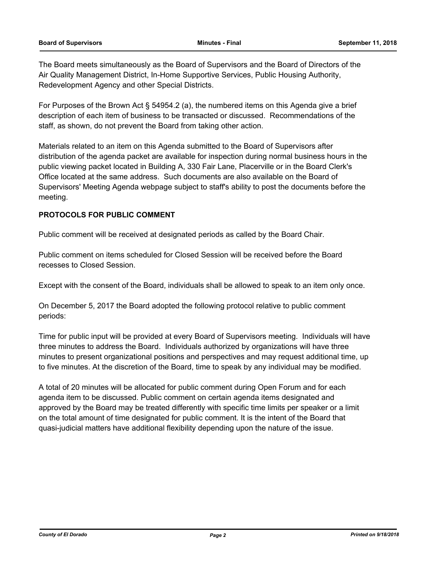The Board meets simultaneously as the Board of Supervisors and the Board of Directors of the Air Quality Management District, In-Home Supportive Services, Public Housing Authority, Redevelopment Agency and other Special Districts.

For Purposes of the Brown Act § 54954.2 (a), the numbered items on this Agenda give a brief description of each item of business to be transacted or discussed. Recommendations of the staff, as shown, do not prevent the Board from taking other action.

Materials related to an item on this Agenda submitted to the Board of Supervisors after distribution of the agenda packet are available for inspection during normal business hours in the public viewing packet located in Building A, 330 Fair Lane, Placerville or in the Board Clerk's Office located at the same address. Such documents are also available on the Board of Supervisors' Meeting Agenda webpage subject to staff's ability to post the documents before the meeting.

## **PROTOCOLS FOR PUBLIC COMMENT**

Public comment will be received at designated periods as called by the Board Chair.

Public comment on items scheduled for Closed Session will be received before the Board recesses to Closed Session.

Except with the consent of the Board, individuals shall be allowed to speak to an item only once.

On December 5, 2017 the Board adopted the following protocol relative to public comment periods:

Time for public input will be provided at every Board of Supervisors meeting. Individuals will have three minutes to address the Board. Individuals authorized by organizations will have three minutes to present organizational positions and perspectives and may request additional time, up to five minutes. At the discretion of the Board, time to speak by any individual may be modified.

A total of 20 minutes will be allocated for public comment during Open Forum and for each agenda item to be discussed. Public comment on certain agenda items designated and approved by the Board may be treated differently with specific time limits per speaker or a limit on the total amount of time designated for public comment. It is the intent of the Board that quasi-judicial matters have additional flexibility depending upon the nature of the issue.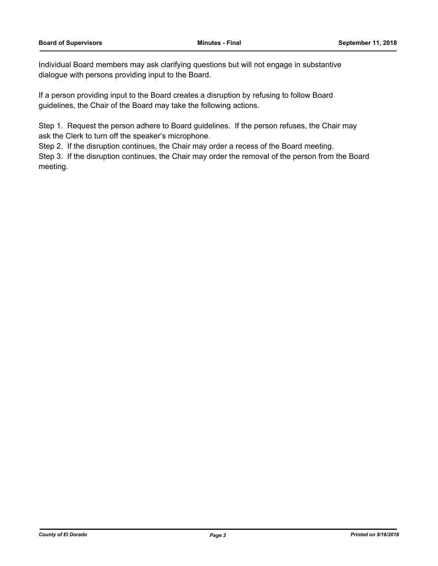Individual Board members may ask clarifying questions but will not engage in substantive dialogue with persons providing input to the Board.

If a person providing input to the Board creates a disruption by refusing to follow Board guidelines, the Chair of the Board may take the following actions.

Step 1. Request the person adhere to Board guidelines. If the person refuses, the Chair may ask the Clerk to turn off the speaker's microphone.

Step 2. If the disruption continues, the Chair may order a recess of the Board meeting.

Step 3. If the disruption continues, the Chair may order the removal of the person from the Board meeting.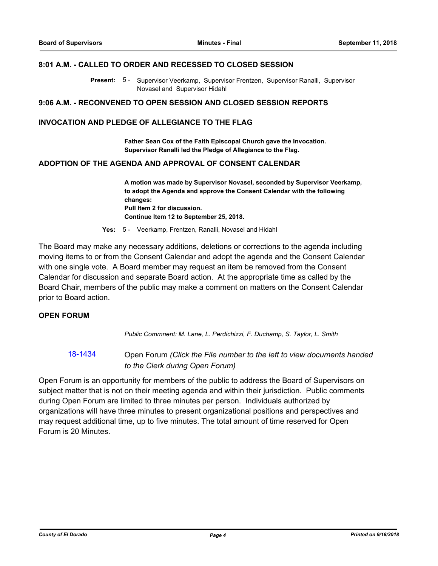#### **8:01 A.M. - CALLED TO ORDER AND RECESSED TO CLOSED SESSION**

Present: 5 - Supervisor Veerkamp, Supervisor Frentzen, Supervisor Ranalli, Supervisor Novasel and Supervisor Hidahl

#### **9:06 A.M. - RECONVENED TO OPEN SESSION AND CLOSED SESSION REPORTS**

#### **INVOCATION AND PLEDGE OF ALLEGIANCE TO THE FLAG**

**Father Sean Cox of the Faith Episcopal Church gave the Invocation. Supervisor Ranalli led the Pledge of Allegiance to the Flag.**

#### **ADOPTION OF THE AGENDA AND APPROVAL OF CONSENT CALENDAR**

**A motion was made by Supervisor Novasel, seconded by Supervisor Veerkamp, to adopt the Agenda and approve the Consent Calendar with the following changes: Pull Item 2 for discussion. Continue Item 12 to September 25, 2018.**

**Yes:** 5 - Veerkamp, Frentzen, Ranalli, Novasel and Hidahl

The Board may make any necessary additions, deletions or corrections to the agenda including moving items to or from the Consent Calendar and adopt the agenda and the Consent Calendar with one single vote. A Board member may request an item be removed from the Consent Calendar for discussion and separate Board action. At the appropriate time as called by the Board Chair, members of the public may make a comment on matters on the Consent Calendar prior to Board action.

#### **OPEN FORUM**

*Public Commnent: M. Lane, L. Perdichizzi, F. Duchamp, S. Taylor, L. Smith*

[18-1434](http://eldorado.legistar.com/gateway.aspx?m=l&id=/matter.aspx?key=24786) Open Forum *(Click the File number to the left to view documents handed to the Clerk during Open Forum)*

Open Forum is an opportunity for members of the public to address the Board of Supervisors on subject matter that is not on their meeting agenda and within their jurisdiction. Public comments during Open Forum are limited to three minutes per person. Individuals authorized by organizations will have three minutes to present organizational positions and perspectives and may request additional time, up to five minutes. The total amount of time reserved for Open Forum is 20 Minutes.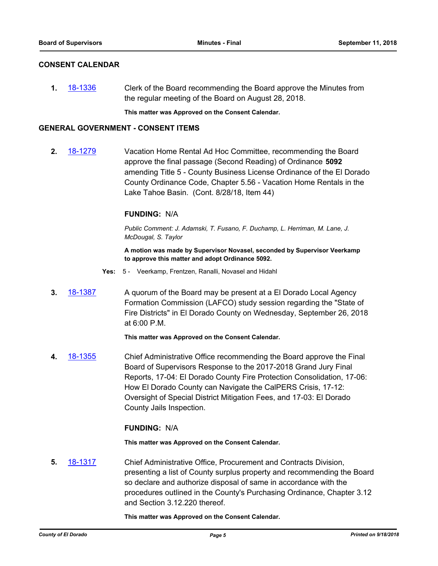#### **CONSENT CALENDAR**

**1.** [18-1336](http://eldorado.legistar.com/gateway.aspx?m=l&id=/matter.aspx?key=24687) Clerk of the Board recommending the Board approve the Minutes from the regular meeting of the Board on August 28, 2018.

**This matter was Approved on the Consent Calendar.**

#### **GENERAL GOVERNMENT - CONSENT ITEMS**

**2.** [18-1279](http://eldorado.legistar.com/gateway.aspx?m=l&id=/matter.aspx?key=24630) Vacation Home Rental Ad Hoc Committee, recommending the Board approve the final passage (Second Reading) of Ordinance **5092**  amending Title 5 - County Business License Ordinance of the El Dorado County Ordinance Code, Chapter 5.56 - Vacation Home Rentals in the Lake Tahoe Basin. (Cont. 8/28/18, Item 44)

#### **FUNDING:** N/A

*Public Comment: J. Adamski, T. Fusano, F. Duchamp, L. Herriman, M. Lane, J. McDougal, S. Taylor*

**A motion was made by Supervisor Novasel, seconded by Supervisor Veerkamp to approve this matter and adopt Ordinance 5092.**

- **Yes:** 5 Veerkamp, Frentzen, Ranalli, Novasel and Hidahl
- **3.** [18-1387](http://eldorado.legistar.com/gateway.aspx?m=l&id=/matter.aspx?key=24739) A quorum of the Board may be present at a El Dorado Local Agency Formation Commission (LAFCO) study session regarding the "State of Fire Districts" in El Dorado County on Wednesday, September 26, 2018 at 6:00 P.M.

**This matter was Approved on the Consent Calendar.**

**4.** [18-1355](http://eldorado.legistar.com/gateway.aspx?m=l&id=/matter.aspx?key=24707) Chief Administrative Office recommending the Board approve the Final Board of Supervisors Response to the 2017-2018 Grand Jury Final Reports, 17-04: El Dorado County Fire Protection Consolidation, 17-06: How El Dorado County can Navigate the CalPERS Crisis, 17-12: Oversight of Special District Mitigation Fees, and 17-03: El Dorado County Jails Inspection.

## **FUNDING:** N/A

**This matter was Approved on the Consent Calendar.**

**5.** [18-1317](http://eldorado.legistar.com/gateway.aspx?m=l&id=/matter.aspx?key=24668) Chief Administrative Office, Procurement and Contracts Division, presenting a list of County surplus property and recommending the Board so declare and authorize disposal of same in accordance with the procedures outlined in the County's Purchasing Ordinance, Chapter 3.12 and Section 3.12.220 thereof.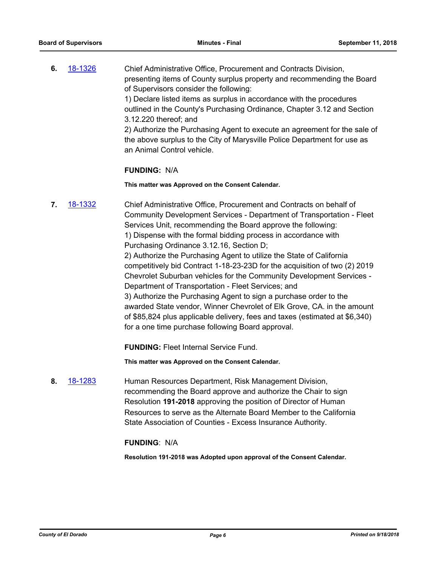**6.** [18-1326](http://eldorado.legistar.com/gateway.aspx?m=l&id=/matter.aspx?key=24677) Chief Administrative Office, Procurement and Contracts Division, presenting items of County surplus property and recommending the Board of Supervisors consider the following: 1) Declare listed items as surplus in accordance with the procedures outlined in the County's Purchasing Ordinance, Chapter 3.12 and Section

3.12.220 thereof; and

2) Authorize the Purchasing Agent to execute an agreement for the sale of the above surplus to the City of Marysville Police Department for use as an Animal Control vehicle.

#### **FUNDING:** N/A

**This matter was Approved on the Consent Calendar.**

**7.** [18-1332](http://eldorado.legistar.com/gateway.aspx?m=l&id=/matter.aspx?key=24683) Chief Administrative Office, Procurement and Contracts on behalf of Community Development Services - Department of Transportation - Fleet Services Unit, recommending the Board approve the following: 1) Dispense with the formal bidding process in accordance with Purchasing Ordinance 3.12.16, Section D; 2) Authorize the Purchasing Agent to utilize the State of California competitively bid Contract 1-18-23-23D for the acquisition of two (2) 2019 Chevrolet Suburban vehicles for the Community Development Services - Department of Transportation - Fleet Services; and 3) Authorize the Purchasing Agent to sign a purchase order to the awarded State vendor, Winner Chevrolet of Elk Grove, CA. in the amount of \$85,824 plus applicable delivery, fees and taxes (estimated at \$6,340) for a one time purchase following Board approval.

**FUNDING:** Fleet Internal Service Fund.

**This matter was Approved on the Consent Calendar.**

**8.** [18-1283](http://eldorado.legistar.com/gateway.aspx?m=l&id=/matter.aspx?key=24634) Human Resources Department, Risk Management Division, recommending the Board approve and authorize the Chair to sign Resolution **191-2018** approving the position of Director of Human Resources to serve as the Alternate Board Member to the California State Association of Counties - Excess Insurance Authority.

## **FUNDING**: N/A

**Resolution 191-2018 was Adopted upon approval of the Consent Calendar.**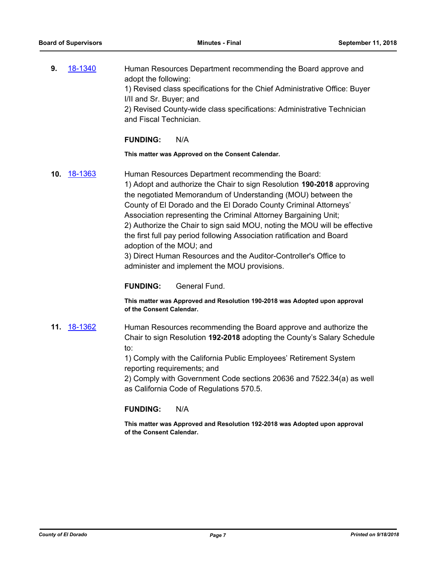**9.** [18-1340](http://eldorado.legistar.com/gateway.aspx?m=l&id=/matter.aspx?key=24691) Human Resources Department recommending the Board approve and adopt the following: 1) Revised class specifications for the Chief Administrative Office: Buyer I/II and Sr. Buyer; and 2) Revised County-wide class specifications: Administrative Technician and Fiscal Technician.

#### **FUNDING:** N/A

**This matter was Approved on the Consent Calendar.**

**10.** [18-1363](http://eldorado.legistar.com/gateway.aspx?m=l&id=/matter.aspx?key=24715) Human Resources Department recommending the Board: 1) Adopt and authorize the Chair to sign Resolution **190-2018** approving the negotiated Memorandum of Understanding (MOU) between the County of El Dorado and the El Dorado County Criminal Attorneys' Association representing the Criminal Attorney Bargaining Unit; 2) Authorize the Chair to sign said MOU, noting the MOU will be effective the first full pay period following Association ratification and Board adoption of the MOU; and 3) Direct Human Resources and the Auditor-Controller's Office to administer and implement the MOU provisions.

#### **FUNDING:** General Fund.

**This matter was Approved and Resolution 190-2018 was Adopted upon approval of the Consent Calendar.**

**11.** [18-1362](http://eldorado.legistar.com/gateway.aspx?m=l&id=/matter.aspx?key=24714) Human Resources recommending the Board approve and authorize the Chair to sign Resolution **192-2018** adopting the County's Salary Schedule to:

> 1) Comply with the California Public Employees' Retirement System reporting requirements; and

2) Comply with Government Code sections 20636 and 7522.34(a) as well as California Code of Regulations 570.5.

#### **FUNDING:** N/A

**This matter was Approved and Resolution 192-2018 was Adopted upon approval of the Consent Calendar.**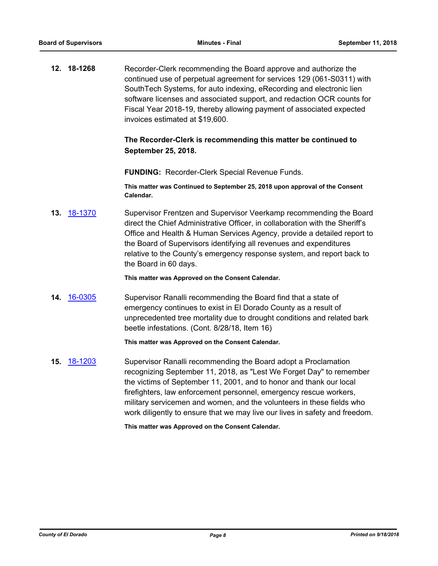**12. 18-1268** Recorder-Clerk recommending the Board approve and authorize the continued use of perpetual agreement for services 129 (061-S0311) with SouthTech Systems, for auto indexing, eRecording and electronic lien software licenses and associated support, and redaction OCR counts for Fiscal Year 2018-19, thereby allowing payment of associated expected invoices estimated at \$19,600.

## **The Recorder-Clerk is recommending this matter be continued to September 25, 2018.**

**FUNDING:** Recorder-Clerk Special Revenue Funds.

**This matter was Continued to September 25, 2018 upon approval of the Consent Calendar.**

**13.** [18-1370](http://eldorado.legistar.com/gateway.aspx?m=l&id=/matter.aspx?key=24722) Supervisor Frentzen and Supervisor Veerkamp recommending the Board direct the Chief Administrative Officer, in collaboration with the Sheriff's Office and Health & Human Services Agency, provide a detailed report to the Board of Supervisors identifying all revenues and expenditures relative to the County's emergency response system, and report back to the Board in 60 days.

**This matter was Approved on the Consent Calendar.**

**14.** [16-0305](http://eldorado.legistar.com/gateway.aspx?m=l&id=/matter.aspx?key=20961) Supervisor Ranalli recommending the Board find that a state of emergency continues to exist in El Dorado County as a result of unprecedented tree mortality due to drought conditions and related bark beetle infestations. (Cont. 8/28/18, Item 16)

#### **This matter was Approved on the Consent Calendar.**

**15.** [18-1203](http://eldorado.legistar.com/gateway.aspx?m=l&id=/matter.aspx?key=24554) Supervisor Ranalli recommending the Board adopt a Proclamation recognizing September 11, 2018, as "Lest We Forget Day" to remember the victims of September 11, 2001, and to honor and thank our local firefighters, law enforcement personnel, emergency rescue workers, military servicemen and women, and the volunteers in these fields who work diligently to ensure that we may live our lives in safety and freedom.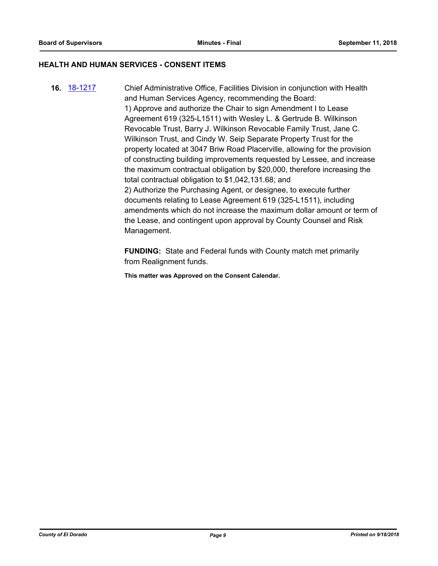#### **HEALTH AND HUMAN SERVICES - CONSENT ITEMS**

**16.** [18-1217](http://eldorado.legistar.com/gateway.aspx?m=l&id=/matter.aspx?key=24568) Chief Administrative Office, Facilities Division in conjunction with Health and Human Services Agency, recommending the Board: 1) Approve and authorize the Chair to sign Amendment I to Lease Agreement 619 (325-L1511) with Wesley L. & Gertrude B. Wilkinson Revocable Trust, Barry J. Wilkinson Revocable Family Trust, Jane C. Wilkinson Trust, and Cindy W. Seip Separate Property Trust for the property located at 3047 Briw Road Placerville, allowing for the provision of constructing building improvements requested by Lessee, and increase the maximum contractual obligation by \$20,000, therefore increasing the total contractual obligation to \$1,042,131.68; and 2) Authorize the Purchasing Agent, or designee, to execute further documents relating to Lease Agreement 619 (325-L1511), including amendments which do not increase the maximum dollar amount or term of the Lease, and contingent upon approval by County Counsel and Risk Management.

> **FUNDING:** State and Federal funds with County match met primarily from Realignment funds.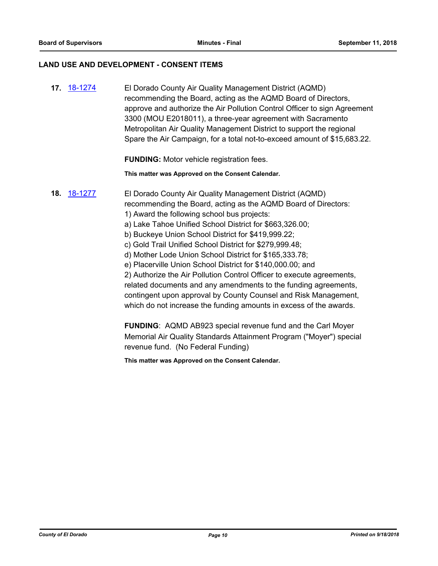#### **LAND USE AND DEVELOPMENT - CONSENT ITEMS**

**17.** [18-1274](http://eldorado.legistar.com/gateway.aspx?m=l&id=/matter.aspx?key=24625) El Dorado County Air Quality Management District (AQMD) recommending the Board, acting as the AQMD Board of Directors, approve and authorize the Air Pollution Control Officer to sign Agreement 3300 (MOU E2018011), a three-year agreement with Sacramento Metropolitan Air Quality Management District to support the regional Spare the Air Campaign, for a total not-to-exceed amount of \$15,683.22.

**FUNDING:** Motor vehicle registration fees.

**This matter was Approved on the Consent Calendar.**

## **18.** [18-1277](http://eldorado.legistar.com/gateway.aspx?m=l&id=/matter.aspx?key=24628) El Dorado County Air Quality Management District (AQMD) recommending the Board, acting as the AQMD Board of Directors: 1) Award the following school bus projects:

- a) Lake Tahoe Unified School District for \$663,326.00;
- b) Buckeye Union School District for \$419,999.22;
- c) Gold Trail Unified School District for \$279,999.48;
- d) Mother Lode Union School District for \$165,333.78;
- e) Placerville Union School District for \$140,000.00; and

2) Authorize the Air Pollution Control Officer to execute agreements, related documents and any amendments to the funding agreements, contingent upon approval by County Counsel and Risk Management, which do not increase the funding amounts in excess of the awards.

**FUNDING**: AQMD AB923 special revenue fund and the Carl Moyer Memorial Air Quality Standards Attainment Program ("Moyer") special revenue fund. (No Federal Funding)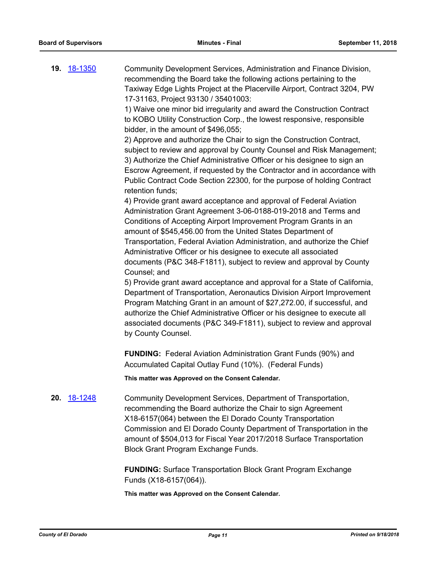**19.** [18-1350](http://eldorado.legistar.com/gateway.aspx?m=l&id=/matter.aspx?key=24701) Community Development Services, Administration and Finance Division, recommending the Board take the following actions pertaining to the Taxiway Edge Lights Project at the Placerville Airport, Contract 3204, PW 17-31163, Project 93130 / 35401003:

> 1) Waive one minor bid irregularity and award the Construction Contract to KOBO Utility Construction Corp., the lowest responsive, responsible bidder, in the amount of \$496,055;

2) Approve and authorize the Chair to sign the Construction Contract, subject to review and approval by County Counsel and Risk Management; 3) Authorize the Chief Administrative Officer or his designee to sign an Escrow Agreement, if requested by the Contractor and in accordance with Public Contract Code Section 22300, for the purpose of holding Contract retention funds;

4) Provide grant award acceptance and approval of Federal Aviation Administration Grant Agreement 3-06-0188-019-2018 and Terms and Conditions of Accepting Airport Improvement Program Grants in an amount of \$545,456.00 from the United States Department of Transportation, Federal Aviation Administration, and authorize the Chief Administrative Officer or his designee to execute all associated documents (P&C 348-F1811), subject to review and approval by County Counsel; and

5) Provide grant award acceptance and approval for a State of California, Department of Transportation, Aeronautics Division Airport Improvement Program Matching Grant in an amount of \$27,272.00, if successful, and authorize the Chief Administrative Officer or his designee to execute all associated documents (P&C 349-F1811), subject to review and approval by County Counsel.

**FUNDING:** Federal Aviation Administration Grant Funds (90%) and Accumulated Capital Outlay Fund (10%). (Federal Funds)

**This matter was Approved on the Consent Calendar.**

**20.** [18-1248](http://eldorado.legistar.com/gateway.aspx?m=l&id=/matter.aspx?key=24599) Community Development Services, Department of Transportation, recommending the Board authorize the Chair to sign Agreement X18-6157(064) between the El Dorado County Transportation Commission and El Dorado County Department of Transportation in the amount of \$504,013 for Fiscal Year 2017/2018 Surface Transportation Block Grant Program Exchange Funds.

> **FUNDING:** Surface Transportation Block Grant Program Exchange Funds (X18-6157(064)).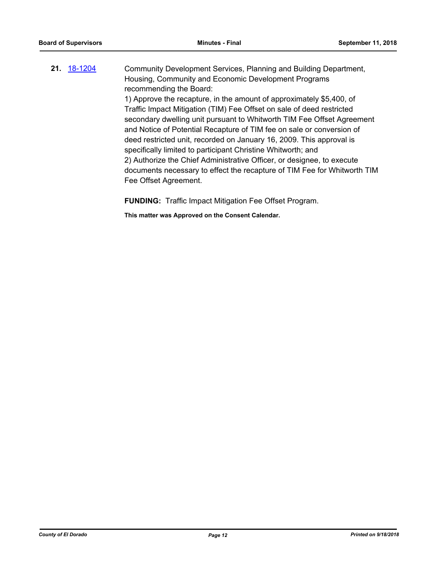**21.** [18-1204](http://eldorado.legistar.com/gateway.aspx?m=l&id=/matter.aspx?key=24555) Community Development Services, Planning and Building Department, Housing, Community and Economic Development Programs recommending the Board: 1) Approve the recapture, in the amount of approximately \$5,400, of Traffic Impact Mitigation (TIM) Fee Offset on sale of deed restricted secondary dwelling unit pursuant to Whitworth TIM Fee Offset Agreement and Notice of Potential Recapture of TIM fee on sale or conversion of deed restricted unit, recorded on January 16, 2009. This approval is specifically limited to participant Christine Whitworth; and 2) Authorize the Chief Administrative Officer, or designee, to execute documents necessary to effect the recapture of TIM Fee for Whitworth TIM Fee Offset Agreement.

**FUNDING:** Traffic Impact Mitigation Fee Offset Program.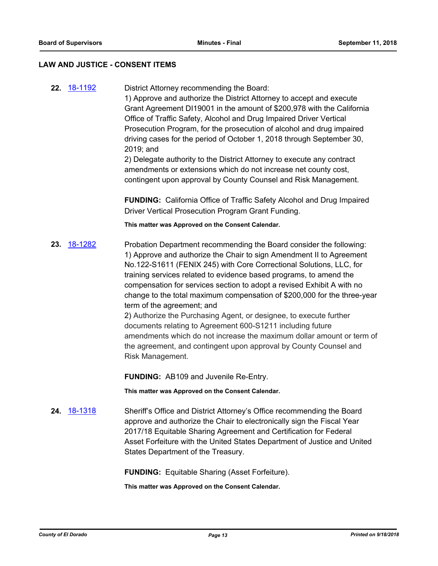#### **LAW AND JUSTICE - CONSENT ITEMS**

**22.** [18-1192](http://eldorado.legistar.com/gateway.aspx?m=l&id=/matter.aspx?key=24543) District Attorney recommending the Board:

1) Approve and authorize the District Attorney to accept and execute Grant Agreement DI19001 in the amount of \$200,978 with the California Office of Traffic Safety, Alcohol and Drug Impaired Driver Vertical Prosecution Program, for the prosecution of alcohol and drug impaired driving cases for the period of October 1, 2018 through September 30, 2019; and

2) Delegate authority to the District Attorney to execute any contract amendments or extensions which do not increase net county cost, contingent upon approval by County Counsel and Risk Management.

**FUNDING:** California Office of Traffic Safety Alcohol and Drug Impaired Driver Vertical Prosecution Program Grant Funding.

**This matter was Approved on the Consent Calendar.**

**23.** [18-1282](http://eldorado.legistar.com/gateway.aspx?m=l&id=/matter.aspx?key=24633) Probation Department recommending the Board consider the following: 1) Approve and authorize the Chair to sign Amendment II to Agreement No.122-S1611 (FENIX 245) with Core Correctional Solutions, LLC, for training services related to evidence based programs, to amend the compensation for services section to adopt a revised Exhibit A with no change to the total maximum compensation of \$200,000 for the three-year term of the agreement; and

2) Authorize the Purchasing Agent, or designee, to execute further documents relating to Agreement 600-S1211 including future amendments which do not increase the maximum dollar amount or term of the agreement, and contingent upon approval by County Counsel and Risk Management.

**FUNDING:** AB109 and Juvenile Re-Entry.

**This matter was Approved on the Consent Calendar.**

**24.** [18-1318](http://eldorado.legistar.com/gateway.aspx?m=l&id=/matter.aspx?key=24669) Sheriff's Office and District Attorney's Office recommending the Board approve and authorize the Chair to electronically sign the Fiscal Year 2017/18 Equitable Sharing Agreement and Certification for Federal Asset Forfeiture with the United States Department of Justice and United States Department of the Treasury.

**FUNDING:** Equitable Sharing (Asset Forfeiture).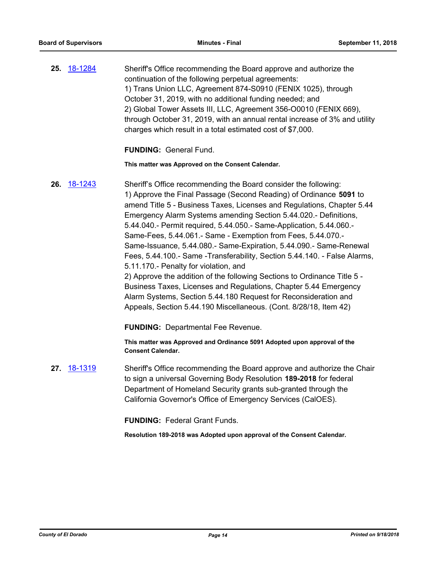| 25. <u>18-1284</u> | Sheriff's Office recommending the Board approve and authorize the          |
|--------------------|----------------------------------------------------------------------------|
|                    | continuation of the following perpetual agreements:                        |
|                    | 1) Trans Union LLC, Agreement 874-S0910 (FENIX 1025), through              |
|                    | October 31, 2019, with no additional funding needed; and                   |
|                    | 2) Global Tower Assets III, LLC, Agreement 356-00010 (FENIX 669),          |
|                    | through October 31, 2019, with an annual rental increase of 3% and utility |
|                    | charges which result in a total estimated cost of \$7,000.                 |

**FUNDING:** General Fund.

**This matter was Approved on the Consent Calendar.**

- **26.** [18-1243](http://eldorado.legistar.com/gateway.aspx?m=l&id=/matter.aspx?key=24594) Sheriff's Office recommending the Board consider the following: 1) Approve the Final Passage (Second Reading) of Ordinance **5091** to amend Title 5 - Business Taxes, Licenses and Regulations, Chapter 5.44 Emergency Alarm Systems amending Section 5.44.020.- Definitions, 5.44.040.- Permit required, 5.44.050.- Same-Application, 5.44.060.- Same-Fees, 5.44.061.- Same - Exemption from Fees, 5.44.070.- Same-Issuance, 5.44.080.- Same-Expiration, 5.44.090.- Same-Renewal Fees, 5.44.100.- Same -Transferability, Section 5.44.140. - False Alarms, 5.11.170.- Penalty for violation, and 2) Approve the addition of the following Sections to Ordinance Title 5 - Business Taxes, Licenses and Regulations, Chapter 5.44 Emergency Alarm Systems, Section 5.44.180 Request for Reconsideration and Appeals, Section 5.44.190 Miscellaneous. (Cont. 8/28/18, Item 42) **FUNDING:** Departmental Fee Revenue. **This matter was Approved and Ordinance 5091 Adopted upon approval of the Consent Calendar. 27.** [18-1319](http://eldorado.legistar.com/gateway.aspx?m=l&id=/matter.aspx?key=24670) Sheriff's Office recommending the Board approve and authorize the Chair
	- to sign a universal Governing Body Resolution **189-2018** for federal Department of Homeland Security grants sub-granted through the California Governor's Office of Emergency Services (CalOES).

**FUNDING:** Federal Grant Funds.

**Resolution 189-2018 was Adopted upon approval of the Consent Calendar.**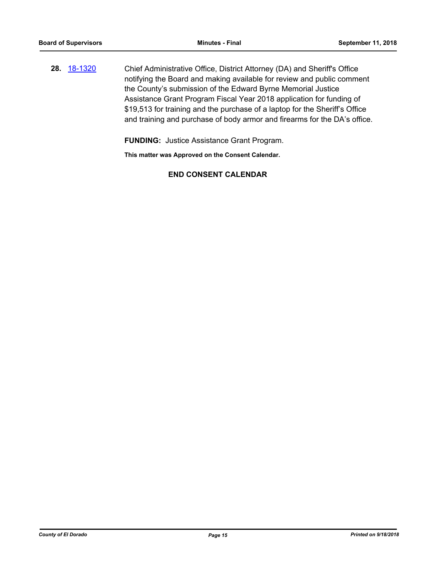**28.** [18-1320](http://eldorado.legistar.com/gateway.aspx?m=l&id=/matter.aspx?key=24671) Chief Administrative Office, District Attorney (DA) and Sheriff's Office notifying the Board and making available for review and public comment the County's submission of the Edward Byrne Memorial Justice Assistance Grant Program Fiscal Year 2018 application for funding of \$19,513 for training and the purchase of a laptop for the Sheriff's Office and training and purchase of body armor and firearms for the DA's office.

**FUNDING:** Justice Assistance Grant Program.

**This matter was Approved on the Consent Calendar.**

## **END CONSENT CALENDAR**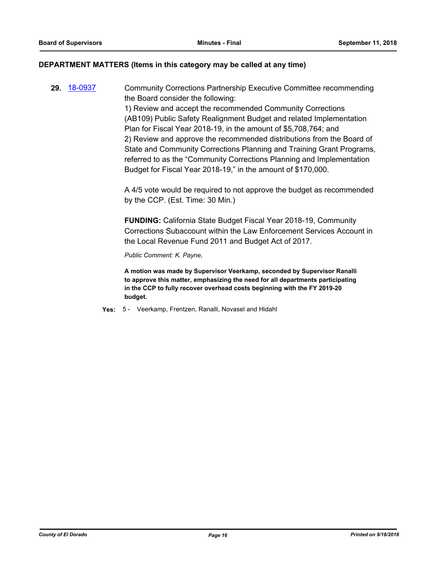#### **DEPARTMENT MATTERS (Items in this category may be called at any time)**

**29.** [18-0937](http://eldorado.legistar.com/gateway.aspx?m=l&id=/matter.aspx?key=24285) Community Corrections Partnership Executive Committee recommending the Board consider the following: 1) Review and accept the recommended Community Corrections

(AB109) Public Safety Realignment Budget and related Implementation Plan for Fiscal Year 2018-19, in the amount of \$5,708,764; and 2) Review and approve the recommended distributions from the Board of State and Community Corrections Planning and Training Grant Programs, referred to as the "Community Corrections Planning and Implementation Budget for Fiscal Year 2018-19," in the amount of \$170,000.

A 4/5 vote would be required to not approve the budget as recommended by the CCP. (Est. Time: 30 Min.)

**FUNDING:** California State Budget Fiscal Year 2018-19, Community Corrections Subaccount within the Law Enforcement Services Account in the Local Revenue Fund 2011 and Budget Act of 2017.

*Public Comment: K. Payne,*

**A motion was made by Supervisor Veerkamp, seconded by Supervisor Ranalli to approve this matter, emphasizing the need for all departments participating in the CCP to fully recover overhead costs beginning with the FY 2019-20 budget.**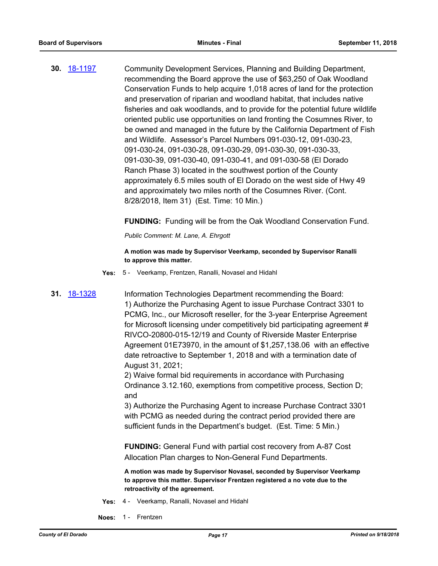**30.** [18-1197](http://eldorado.legistar.com/gateway.aspx?m=l&id=/matter.aspx?key=24548) Community Development Services, Planning and Building Department, recommending the Board approve the use of \$63,250 of Oak Woodland Conservation Funds to help acquire 1,018 acres of land for the protection and preservation of riparian and woodland habitat, that includes native fisheries and oak woodlands, and to provide for the potential future wildlife oriented public use opportunities on land fronting the Cosumnes River, to be owned and managed in the future by the California Department of Fish and Wildlife. Assessor's Parcel Numbers 091-030-12, 091-030-23, 091-030-24, 091-030-28, 091-030-29, 091-030-30, 091-030-33, 091-030-39, 091-030-40, 091-030-41, and 091-030-58 (El Dorado Ranch Phase 3) located in the southwest portion of the County approximately 6.5 miles south of El Dorado on the west side of Hwy 49 and approximately two miles north of the Cosumnes River. (Cont. 8/28/2018, Item 31) (Est. Time: 10 Min.)

**FUNDING:** Funding will be from the Oak Woodland Conservation Fund.

*Public Comment: M. Lane, A. Ehrgott*

**A motion was made by Supervisor Veerkamp, seconded by Supervisor Ranalli to approve this matter.**

**Yes:** 5 - Veerkamp, Frentzen, Ranalli, Novasel and Hidahl

**31.** [18-1328](http://eldorado.legistar.com/gateway.aspx?m=l&id=/matter.aspx?key=24679) Information Technologies Department recommending the Board: 1) Authorize the Purchasing Agent to issue Purchase Contract 3301 to PCMG, Inc., our Microsoft reseller, for the 3-year Enterprise Agreement for Microsoft licensing under competitively bid participating agreement # RIVCO-20800-015-12/19 and County of Riverside Master Enterprise Agreement 01E73970, in the amount of \$1,257,138.06 with an effective date retroactive to September 1, 2018 and with a termination date of August 31, 2021;

2) Waive formal bid requirements in accordance with Purchasing Ordinance 3.12.160, exemptions from competitive process, Section D; and

3) Authorize the Purchasing Agent to increase Purchase Contract 3301 with PCMG as needed during the contract period provided there are sufficient funds in the Department's budget. (Est. Time: 5 Min.)

**FUNDING:** General Fund with partial cost recovery from A-87 Cost Allocation Plan charges to Non-General Fund Departments.

**A motion was made by Supervisor Novasel, seconded by Supervisor Veerkamp to approve this matter. Supervisor Frentzen registered a no vote due to the retroactivity of the agreement.**

- **Yes:** 4 Veerkamp, Ranalli, Novasel and Hidahl
- **Noes:** 1 Frentzen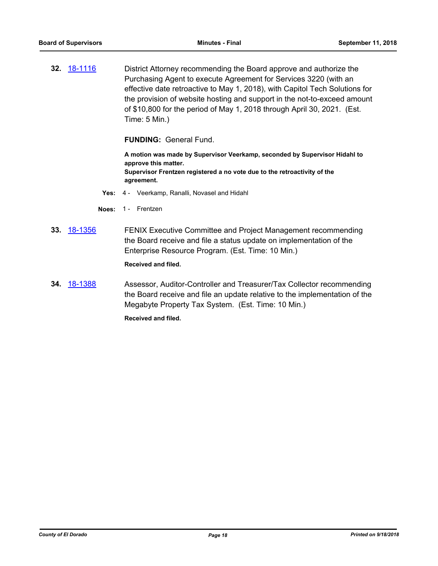**32.** [18-1116](http://eldorado.legistar.com/gateway.aspx?m=l&id=/matter.aspx?key=24466) District Attorney recommending the Board approve and authorize the Purchasing Agent to execute Agreement for Services 3220 (with an effective date retroactive to May 1, 2018), with Capitol Tech Solutions for the provision of website hosting and support in the not-to-exceed amount of \$10,800 for the period of May 1, 2018 through April 30, 2021. (Est. Time: 5 Min.)

**FUNDING:** General Fund.

**A motion was made by Supervisor Veerkamp, seconded by Supervisor Hidahl to approve this matter. Supervisor Frentzen registered a no vote due to the retroactivity of the agreement.**

- **Yes:** 4 Veerkamp, Ranalli, Novasel and Hidahl
- **Noes:** 1 Frentzen
- **33.** [18-1356](http://eldorado.legistar.com/gateway.aspx?m=l&id=/matter.aspx?key=24708) FENIX Executive Committee and Project Management recommending the Board receive and file a status update on implementation of the Enterprise Resource Program. (Est. Time: 10 Min.)

**Received and filed.**

**34.** [18-1388](http://eldorado.legistar.com/gateway.aspx?m=l&id=/matter.aspx?key=24740) Assessor, Auditor-Controller and Treasurer/Tax Collector recommending the Board receive and file an update relative to the implementation of the Megabyte Property Tax System. (Est. Time: 10 Min.)

**Received and filed.**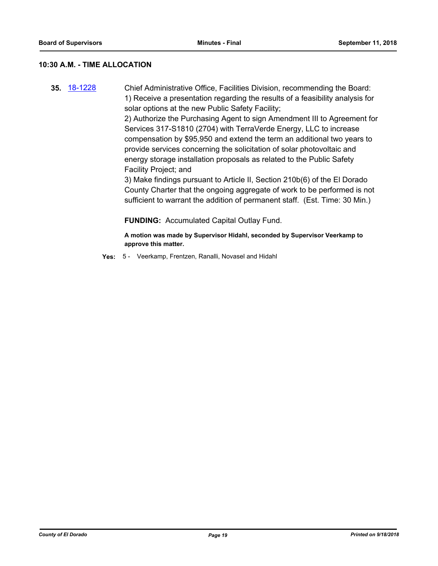#### **10:30 A.M. - TIME ALLOCATION**

**35.** [18-1228](http://eldorado.legistar.com/gateway.aspx?m=l&id=/matter.aspx?key=24579) Chief Administrative Office, Facilities Division, recommending the Board: 1) Receive a presentation regarding the results of a feasibility analysis for solar options at the new Public Safety Facility; 2) Authorize the Purchasing Agent to sign Amendment III to Agreement for

Services 317-S1810 (2704) with TerraVerde Energy, LLC to increase compensation by \$95,950 and extend the term an additional two years to provide services concerning the solicitation of solar photovoltaic and energy storage installation proposals as related to the Public Safety Facility Project; and

3) Make findings pursuant to Article II, Section 210b(6) of the El Dorado County Charter that the ongoing aggregate of work to be performed is not sufficient to warrant the addition of permanent staff. (Est. Time: 30 Min.)

**FUNDING:** Accumulated Capital Outlay Fund.

**A motion was made by Supervisor Hidahl, seconded by Supervisor Veerkamp to approve this matter.**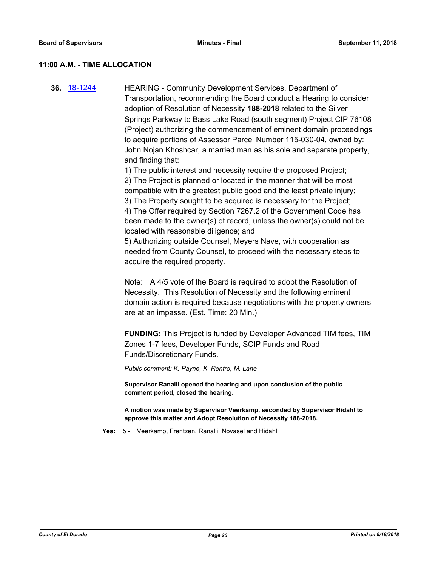#### **11:00 A.M. - TIME ALLOCATION**

**36.** [18-1244](http://eldorado.legistar.com/gateway.aspx?m=l&id=/matter.aspx?key=24595) HEARING - Community Development Services, Department of Transportation, recommending the Board conduct a Hearing to consider adoption of Resolution of Necessity **188-2018** related to the Silver Springs Parkway to Bass Lake Road (south segment) Project CIP 76108 (Project) authorizing the commencement of eminent domain proceedings to acquire portions of Assessor Parcel Number 115-030-04, owned by: John Nojan Khoshcar, a married man as his sole and separate property, and finding that:

> 1) The public interest and necessity require the proposed Project; 2) The Project is planned or located in the manner that will be most compatible with the greatest public good and the least private injury; 3) The Property sought to be acquired is necessary for the Project; 4) The Offer required by Section 7267.2 of the Government Code has been made to the owner(s) of record, unless the owner(s) could not be located with reasonable diligence; and

5) Authorizing outside Counsel, Meyers Nave, with cooperation as needed from County Counsel, to proceed with the necessary steps to acquire the required property.

Note: A 4/5 vote of the Board is required to adopt the Resolution of Necessity. This Resolution of Necessity and the following eminent domain action is required because negotiations with the property owners are at an impasse. (Est. Time: 20 Min.)

**FUNDING:** This Project is funded by Developer Advanced TIM fees, TIM Zones 1-7 fees, Developer Funds, SCIP Funds and Road Funds/Discretionary Funds.

*Public comment: K. Payne, K. Renfro, M. Lane*

**Supervisor Ranalli opened the hearing and upon conclusion of the public comment period, closed the hearing.**

**A motion was made by Supervisor Veerkamp, seconded by Supervisor Hidahl to approve this matter and Adopt Resolution of Necessity 188-2018.**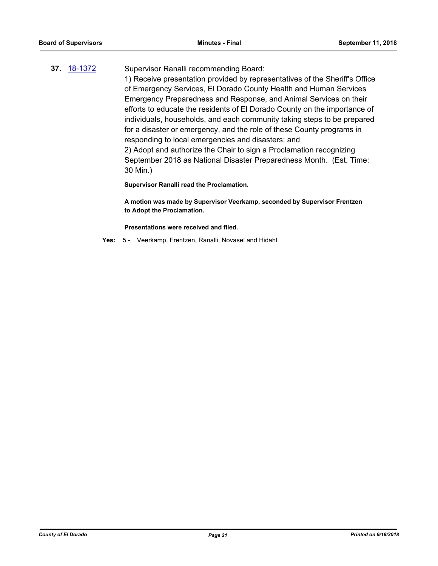## **37.** [18-1372](http://eldorado.legistar.com/gateway.aspx?m=l&id=/matter.aspx?key=24724) Supervisor Ranalli recommending Board:

1) Receive presentation provided by representatives of the Sheriff's Office of Emergency Services, El Dorado County Health and Human Services Emergency Preparedness and Response, and Animal Services on their efforts to educate the residents of El Dorado County on the importance of individuals, households, and each community taking steps to be prepared for a disaster or emergency, and the role of these County programs in responding to local emergencies and disasters; and 2) Adopt and authorize the Chair to sign a Proclamation recognizing September 2018 as National Disaster Preparedness Month. (Est. Time: 30 Min.)

**Supervisor Ranalli read the Proclamation.**

**A motion was made by Supervisor Veerkamp, seconded by Supervisor Frentzen to Adopt the Proclamation.** 

**Presentations were received and filed.**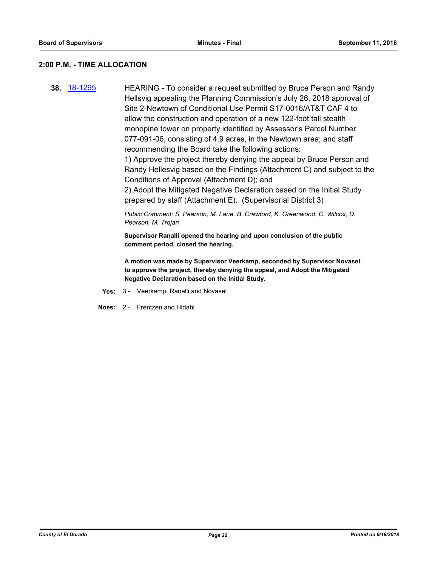#### **2:00 P.M. - TIME ALLOCATION**

**38.** [18-1295](http://eldorado.legistar.com/gateway.aspx?m=l&id=/matter.aspx?key=24646) HEARING - To consider a request submitted by Bruce Person and Randy Hellsvig appealing the Planning Commission's July 26, 2018 approval of Site 2-Newtown of Conditional Use Permit S17-0016/AT&T CAF 4 to allow the construction and operation of a new 122-foot tall stealth monopine tower on property identified by Assessor's Parcel Number 077-091-06, consisting of 4.9 acres, in the Newtown area; and staff recommending the Board take the following actions:

> 1) Approve the project thereby denying the appeal by Bruce Person and Randy Hellesvig based on the Findings (Attachment C) and subject to the Conditions of Approval (Attachment D); and

2) Adopt the Mitigated Negative Declaration based on the Initial Study prepared by staff (Attachment E). (Supervisorial District 3)

*Public Comment: S. Pearson, M. Lane, B. Crawford, K. Greenwood, C. Wilcox, D. Pearson, M. Trojan*

**Supervisor Ranalli opened the hearing and upon conclusion of the public comment period, closed the hearing.**

**A motion was made by Supervisor Veerkamp, seconded by Supervisor Novasel to approve the project, thereby denying the appeal, and Adopt the Mitigated Negative Declaration based on the Initial Study.**

- **Yes:** 3 Veerkamp, Ranalli and Novasel
- **Noes:** 2 Frentzen and Hidahl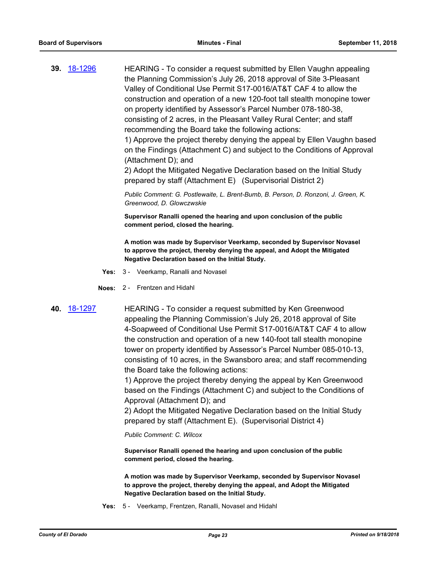**39.** [18-1296](http://eldorado.legistar.com/gateway.aspx?m=l&id=/matter.aspx?key=24647) HEARING - To consider a request submitted by Ellen Vaughn appealing the Planning Commission's July 26, 2018 approval of Site 3-Pleasant Valley of Conditional Use Permit S17-0016/AT&T CAF 4 to allow the construction and operation of a new 120-foot tall stealth monopine tower on property identified by Assessor's Parcel Number 078-180-38, consisting of 2 acres, in the Pleasant Valley Rural Center; and staff recommending the Board take the following actions: 1) Approve the project thereby denying the appeal by Ellen Vaughn based

on the Findings (Attachment C) and subject to the Conditions of Approval (Attachment D); and

2) Adopt the Mitigated Negative Declaration based on the Initial Study prepared by staff (Attachment E) (Supervisorial District 2)

*Public Comment: G. Postlewaite, L. Brent-Bumb, B. Person, D. Ronzoni, J. Green, K. Greenwood, D. Glowczwskie*

**Supervisor Ranalli opened the hearing and upon conclusion of the public comment period, closed the hearing.**

**A motion was made by Supervisor Veerkamp, seconded by Supervisor Novasel to approve the project, thereby denying the appeal, and Adopt the Mitigated Negative Declaration based on the Initial Study.**

- **Yes:** 3 Veerkamp, Ranalli and Novasel
- **Noes:** 2 Frentzen and Hidahl
- 

**40.** [18-1297](http://eldorado.legistar.com/gateway.aspx?m=l&id=/matter.aspx?key=24648) HEARING - To consider a request submitted by Ken Greenwood appealing the Planning Commission's July 26, 2018 approval of Site 4-Soapweed of Conditional Use Permit S17-0016/AT&T CAF 4 to allow the construction and operation of a new 140-foot tall stealth monopine tower on property identified by Assessor's Parcel Number 085-010-13, consisting of 10 acres, in the Swansboro area; and staff recommending the Board take the following actions:

> 1) Approve the project thereby denying the appeal by Ken Greenwood based on the Findings (Attachment C) and subject to the Conditions of Approval (Attachment D); and

> 2) Adopt the Mitigated Negative Declaration based on the Initial Study prepared by staff (Attachment E). (Supervisorial District 4)

*Public Comment: C. Wilcox*

**Supervisor Ranalli opened the hearing and upon conclusion of the public comment period, closed the hearing.**

**A motion was made by Supervisor Veerkamp, seconded by Supervisor Novasel to approve the project, thereby denying the appeal, and Adopt the Mitigated Negative Declaration based on the Initial Study.**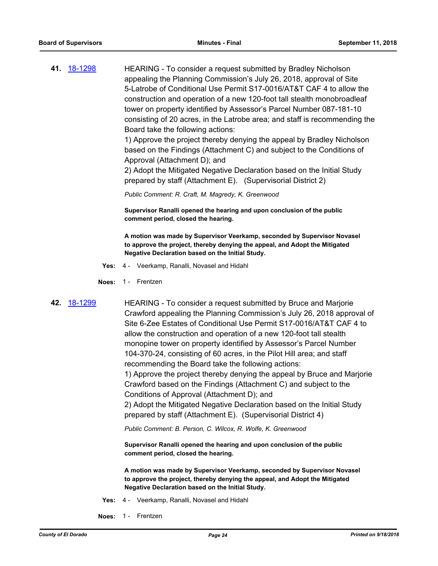**41.** [18-1298](http://eldorado.legistar.com/gateway.aspx?m=l&id=/matter.aspx?key=24649) HEARING - To consider a request submitted by Bradley Nicholson appealing the Planning Commission's July 26, 2018, approval of Site 5-Latrobe of Conditional Use Permit S17-0016/AT&T CAF 4 to allow the construction and operation of a new 120-foot tall stealth monobroadleaf tower on property identified by Assessor's Parcel Number 087-181-10 consisting of 20 acres, in the Latrobe area; and staff is recommending the Board take the following actions:

> 1) Approve the project thereby denying the appeal by Bradley Nicholson based on the Findings (Attachment C) and subject to the Conditions of Approval (Attachment D); and

2) Adopt the Mitigated Negative Declaration based on the Initial Study prepared by staff (Attachment E). (Supervisorial District 2)

*Public Comment: R. Craft, M. Magredy, K. Greenwood*

**Supervisor Ranalli opened the hearing and upon conclusion of the public comment period, closed the hearing.**

**A motion was made by Supervisor Veerkamp, seconded by Supervisor Novasel to approve the project, thereby denying the appeal, and Adopt the Mitigated Negative Declaration based on the Initial Study.**

- **Yes:** 4 Veerkamp, Ranalli, Novasel and Hidahl
- **Noes:** 1 Frentzen
- 

**42.** [18-1299](http://eldorado.legistar.com/gateway.aspx?m=l&id=/matter.aspx?key=24650) HEARING - To consider a request submitted by Bruce and Marjorie Crawford appealing the Planning Commission's July 26, 2018 approval of Site 6-Zee Estates of Conditional Use Permit S17-0016/AT&T CAF 4 to allow the construction and operation of a new 120-foot tall stealth monopine tower on property identified by Assessor's Parcel Number 104-370-24, consisting of 60 acres, in the Pilot Hill area; and staff recommending the Board take the following actions: 1) Approve the project thereby denying the appeal by Bruce and Marjorie Crawford based on the Findings (Attachment C) and subject to the Conditions of Approval (Attachment D); and 2) Adopt the Mitigated Negative Declaration based on the Initial Study prepared by staff (Attachment E). (Supervisorial District 4)

*Public Comment: B. Person, C. Wilcox, R. Wolfe, K. Greenwood*

**Supervisor Ranalli opened the hearing and upon conclusion of the public comment period, closed the hearing.**

**A motion was made by Supervisor Veerkamp, seconded by Supervisor Novasel to approve the project, thereby denying the appeal, and Adopt the Mitigated Negative Declaration based on the Initial Study.**

- **Yes:** 4 Veerkamp, Ranalli, Novasel and Hidahl
- **Noes:** 1 Frentzen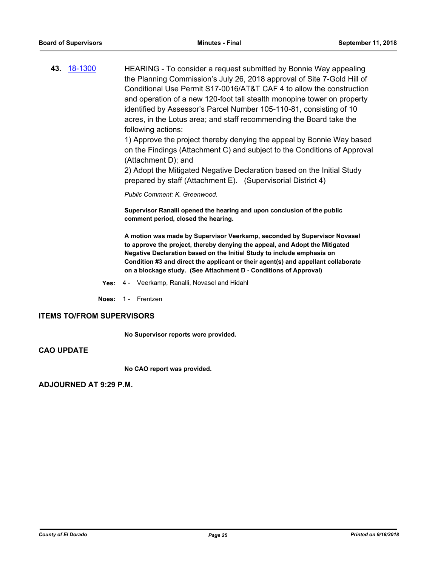**43.** [18-1300](http://eldorado.legistar.com/gateway.aspx?m=l&id=/matter.aspx?key=24651) HEARING - To consider a request submitted by Bonnie Way appealing the Planning Commission's July 26, 2018 approval of Site 7-Gold Hill of Conditional Use Permit S17-0016/AT&T CAF 4 to allow the construction and operation of a new 120-foot tall stealth monopine tower on property identified by Assessor's Parcel Number 105-110-81, consisting of 10 acres, in the Lotus area; and staff recommending the Board take the following actions:

> 1) Approve the project thereby denying the appeal by Bonnie Way based on the Findings (Attachment C) and subject to the Conditions of Approval (Attachment D); and

2) Adopt the Mitigated Negative Declaration based on the Initial Study prepared by staff (Attachment E). (Supervisorial District 4)

*Public Comment: K. Greenwood.*

**Supervisor Ranalli opened the hearing and upon conclusion of the public comment period, closed the hearing.**

**A motion was made by Supervisor Veerkamp, seconded by Supervisor Novasel to approve the project, thereby denying the appeal, and Adopt the Mitigated Negative Declaration based on the Initial Study to include emphasis on Condition #3 and direct the applicant or their agent(s) and appellant collaborate on a blockage study. (See Attachment D - Conditions of Approval)**

- **Yes:** 4 Veerkamp, Ranalli, Novasel and Hidahl
- **Noes:** 1 Frentzen

#### **ITEMS TO/FROM SUPERVISORS**

**No Supervisor reports were provided.**

## **CAO UPDATE**

**No CAO report was provided.**

**ADJOURNED AT 9:29 P.M.**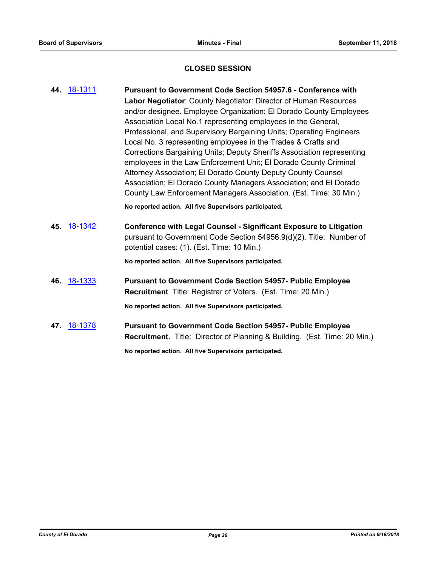## **CLOSED SESSION**

| 44. | <u>18-1311</u> | <b>Pursuant to Government Code Section 54957.6 - Conference with</b>      |
|-----|----------------|---------------------------------------------------------------------------|
|     |                | Labor Negotiator: County Negotiator: Director of Human Resources          |
|     |                | and/or designee. Employee Organization: El Dorado County Employees        |
|     |                | Association Local No.1 representing employees in the General,             |
|     |                | Professional, and Supervisory Bargaining Units; Operating Engineers       |
|     |                | Local No. 3 representing employees in the Trades & Crafts and             |
|     |                | Corrections Bargaining Units; Deputy Sheriffs Association representing    |
|     |                | employees in the Law Enforcement Unit; El Dorado County Criminal          |
|     |                | Attorney Association; El Dorado County Deputy County Counsel              |
|     |                | Association; El Dorado County Managers Association; and El Dorado         |
|     |                | County Law Enforcement Managers Association. (Est. Time: 30 Min.)         |
|     |                |                                                                           |
|     |                | No reported action. All five Supervisors participated.                    |
|     | 45. 18-1342    | <b>Conference with Legal Counsel - Significant Exposure to Litigation</b> |
|     |                | pursuant to Government Code Section 54956.9(d)(2). Title: Number of       |
|     |                | potential cases: (1). (Est. Time: 10 Min.)                                |
|     |                | No reported action. All five Supervisors participated.                    |
|     |                |                                                                           |
|     | 46. 18-1333    | <b>Pursuant to Government Code Section 54957- Public Employee</b>         |
|     |                | Recruitment Title: Registrar of Voters. (Est. Time: 20 Min.)              |
|     |                | No reported action. All five Supervisors participated.                    |
|     |                |                                                                           |
|     | 47. 18-1378    | <b>Pursuant to Government Code Section 54957- Public Employee</b>         |
|     |                | Recruitment. Title: Director of Planning & Building. (Est. Time: 20 Min.) |
|     |                | No reported action. All five Supervisors participated.                    |
|     |                |                                                                           |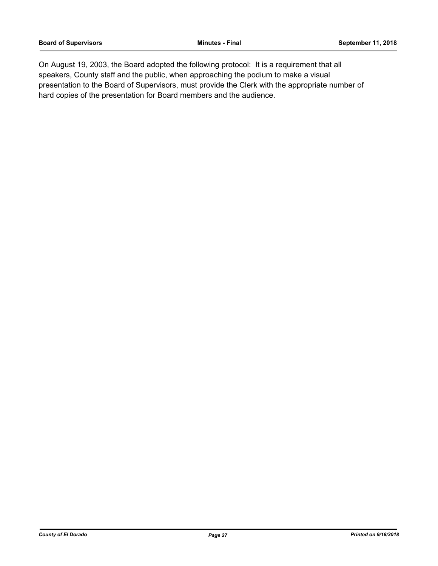On August 19, 2003, the Board adopted the following protocol: It is a requirement that all speakers, County staff and the public, when approaching the podium to make a visual presentation to the Board of Supervisors, must provide the Clerk with the appropriate number of hard copies of the presentation for Board members and the audience.